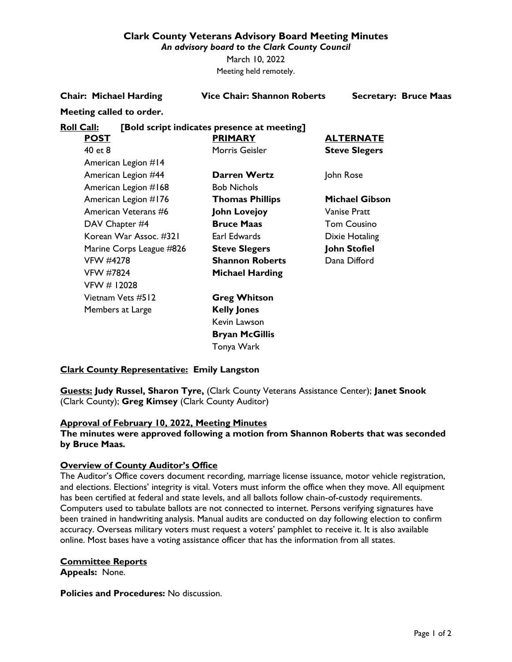## **Clark County Veterans Advisory Board Meeting Minutes**

*An advisory board to the Clark County Council*

March 10, 2022 Meeting held remotely.

**Chair: Michael Harding Vice Chair: Shannon Roberts Secretary: Bruce Maas**

## **Meeting called to order.**

## **Roll Call: [Bold script indicates presence at meeting]**

| <b>POST</b>              | <b>PRIMARY</b>         | <b>ALTERNATE</b>      |
|--------------------------|------------------------|-----------------------|
| 40 et 8                  | Morris Geisler         | <b>Steve Slegers</b>  |
| American Legion #14      |                        |                       |
| American Legion #44      | Darren Wertz           | John Rose             |
| American Legion #168     | <b>Bob Nichols</b>     |                       |
| American Legion #176     | <b>Thomas Phillips</b> | <b>Michael Gibson</b> |
| American Veterans #6     | <b>John Lovejoy</b>    | Vanise Pratt          |
| DAV Chapter #4           | <b>Bruce Maas</b>      | <b>Tom Cousino</b>    |
| Korean War Assoc. #321   | Earl Edwards           | Dixie Hotaling        |
| Marine Corps League #826 | <b>Steve Slegers</b>   | John Stofiel          |
| VFW #4278                | <b>Shannon Roberts</b> | Dana Difford          |
| <b>VFW #7824</b>         | <b>Michael Harding</b> |                       |
| VFW # 12028              |                        |                       |
| Vietnam Vets #512        | <b>Greg Whitson</b>    |                       |
| Members at Large         | <b>Kelly Jones</b>     |                       |
|                          | Kevin Lawson           |                       |
|                          | <b>Bryan McGillis</b>  |                       |
|                          |                        |                       |

## **Clark County Representative: Emily Langston**

**Guests: Judy Russel, Sharon Tyre,** (Clark County Veterans Assistance Center); **Janet Snook** (Clark County); **Greg Kimsey** (Clark County Auditor)

Tonya Wark

## **Approval of February 10, 2022, Meeting Minutes**

**The minutes were approved following a motion from Shannon Roberts that was seconded by Bruce Maas.**

## **Overview of County Auditor's Office**

The Auditor's Office covers document recording, marriage license issuance, motor vehicle registration, and elections. Elections' integrity is vital. Voters must inform the office when they move. All equipment has been certified at federal and state levels, and all ballots follow chain-of-custody requirements. Computers used to tabulate ballots are not connected to internet. Persons verifying signatures have been trained in handwriting analysis. Manual audits are conducted on day following election to confirm accuracy. Overseas military voters must request a voters' pamphlet to receive it. It is also available online. Most bases have a voting assistance officer that has the information from all states.

### **Committee Reports**

**Appeals:** None.

**Policies and Procedures:** No discussion.